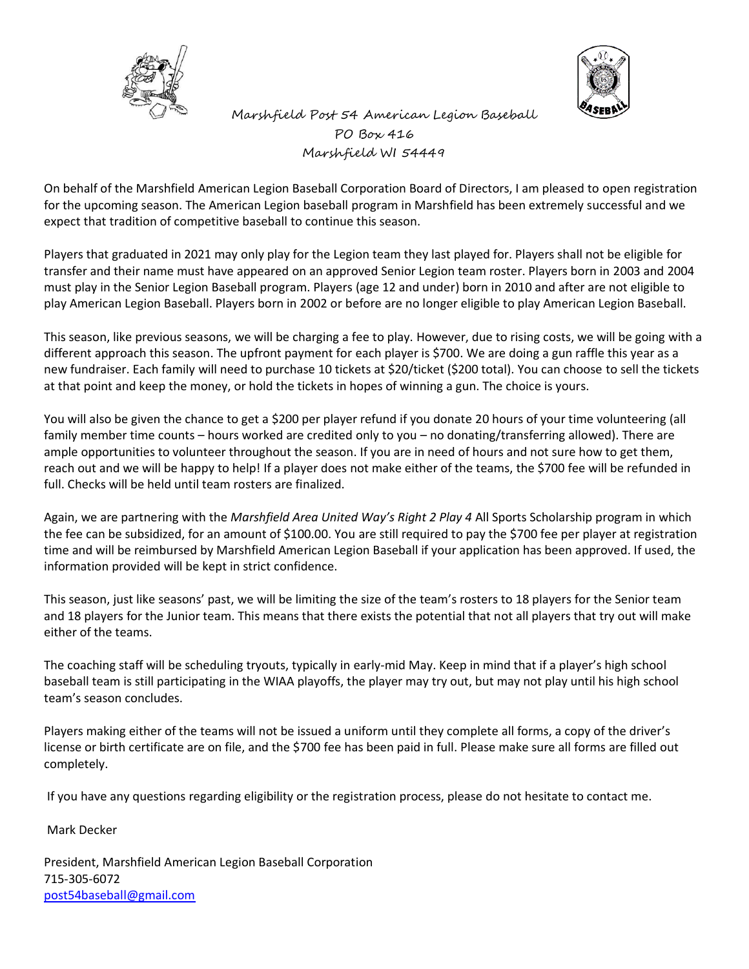



 Marshfield Post 54 American Legion Baseball PO Box 416 Marshfield WI 54449

On behalf of the Marshfield American Legion Baseball Corporation Board of Directors, I am pleased to open registration for the upcoming season. The American Legion baseball program in Marshfield has been extremely successful and we expect that tradition of competitive baseball to continue this season.

Players that graduated in 2021 may only play for the Legion team they last played for. Players shall not be eligible for transfer and their name must have appeared on an approved Senior Legion team roster. Players born in 2003 and 2004 must play in the Senior Legion Baseball program. Players (age 12 and under) born in 2010 and after are not eligible to play American Legion Baseball. Players born in 2002 or before are no longer eligible to play American Legion Baseball.

This season, like previous seasons, we will be charging a fee to play. However, due to rising costs, we will be going with a different approach this season. The upfront payment for each player is \$700. We are doing a gun raffle this year as a new fundraiser. Each family will need to purchase 10 tickets at \$20/ticket (\$200 total). You can choose to sell the tickets at that point and keep the money, or hold the tickets in hopes of winning a gun. The choice is yours.

You will also be given the chance to get a \$200 per player refund if you donate 20 hours of your time volunteering (all family member time counts – hours worked are credited only to you – no donating/transferring allowed). There are ample opportunities to volunteer throughout the season. If you are in need of hours and not sure how to get them, reach out and we will be happy to help! If a player does not make either of the teams, the \$700 fee will be refunded in full. Checks will be held until team rosters are finalized.

Again, we are partnering with the *Marshfield Area United Way's Right 2 Play 4* All Sports Scholarship program in which the fee can be subsidized, for an amount of \$100.00. You are still required to pay the \$700 fee per player at registration time and will be reimbursed by Marshfield American Legion Baseball if your application has been approved. If used, the information provided will be kept in strict confidence.

This season, just like seasons' past, we will be limiting the size of the team's rosters to 18 players for the Senior team and 18 players for the Junior team. This means that there exists the potential that not all players that try out will make either of the teams.

The coaching staff will be scheduling tryouts, typically in early-mid May. Keep in mind that if a player's high school baseball team is still participating in the WIAA playoffs, the player may try out, but may not play until his high school team's season concludes.

Players making either of the teams will not be issued a uniform until they complete all forms, a copy of the driver's license or birth certificate are on file, and the \$700 fee has been paid in full. Please make sure all forms are filled out completely.

If you have any questions regarding eligibility or the registration process, please do not hesitate to contact me.

Mark Decker

President, Marshfield American Legion Baseball Corporation 715-305-6072 [post54baseball@gmail.com](mailto:post54baseball@gmail.com)